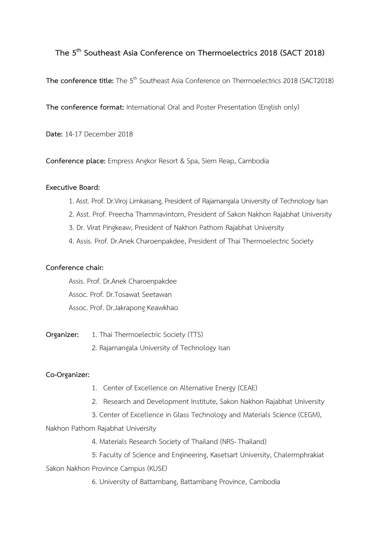# **The 5 th Southeast Asia Conference on Thermoelectrics 2018 (SACT 2018)**

**The conference title:** The 5<sup>th</sup> Southeast Asia Conference on Thermoelectrics 2018 (SACT2018)

**The conference format:** International Oral and Poster Presentation (English only)

**Date:** 14-17 December 2018

**Conference place:** Empress Angkor Resort & Spa, Siem Reap, Cambodia

#### **Executive Board:**

- 1. Asst. Prof. Dr.Viroj Limkaisang, President of Rajamangala University of Technology Isan
- 2. Asst. Prof. Preecha Thammavintorn, President of Sakon Nakhon Rajabhat University
- 3. Dr. Virat Pingkeaw, President of Nakhon Pathom Rajabhat University
- 4. Assis. Prof. Dr.Anek Charoenpakdee, President of Thai Thermoelectric Society

#### **Conference chair:**

Assis. Prof. Dr.Anek Charoenpakdee Assoc. Prof. Dr.Tosawat Seetawan Assoc. Prof. Dr.Jakrapong Keawkhao

**Organizer:** 1. Thai Thermoelectric Society (TTS)

2. Rajamangala University of Technology Isan

### **Co-Organizer:**

- 1. Center of Excellence on Alternative Energy (CEAE)
- 2. Research and Development Institute, Sakon Nakhon Rajabhat University
- 3. Center of Excellence in Glass Technology and Materials Science (CEGM),

### Nakhon Pathom Rajabhat University

- 4. Materials Research Society of Thailand (NRS-Thailand)
- 5. Faculty of Science and Engineering, Kasetsart University, Chalermphrakiat Sakon Nakhon Province Campus (KUSE)
	- 6. University of Battambang, Battambang Province, Cambodia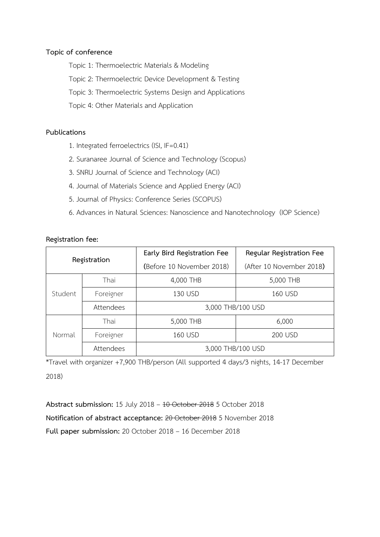## **Topic of conference**

Topic 1: Thermoelectric Materials & Modeling

Topic 2: Thermoelectric Device Development & Testing

Topic 3: Thermoelectric Systems Design and Applications

Topic 4: Other Materials and Application

## **Publications**

- 1. Integrated ferroelectrics (ISI, IF=0.41)
- 2. Suranaree Journal of Science and Technology (Scopus)
- 3. SNRU Journal of Science and Technology (ACI)
- 4. Journal of Materials Science and Applied Energy (ACI)
- 5. Journal of Physics: Conference Series (SCOPUS)
- 6. Advances in Natural Sciences: Nanoscience and Nanotechnology (IOP Science)

| Registration |           | Early Bird Registration Fee | Regular Registration Fee |
|--------------|-----------|-----------------------------|--------------------------|
|              |           | (Before 10 November 2018)   | (After 10 November 2018) |
| Student      | Thai      | 4,000 THB                   | 5,000 THB                |
|              | Foreigner | 130 USD                     | 160 USD                  |
|              | Attendees | 3,000 THB/100 USD           |                          |
| Normal       | Thai      | 5,000 THB                   | 6,000                    |
|              | Foreigner | 160 USD                     | 200 USD                  |
|              | Attendees | 3,000 THB/100 USD           |                          |

## **Registration fee:**

\*Travel with organizer +7,900 THB/person (All supported 4 days/3 nights, 14-17 December 2018)

**Abstract submission:** 15 July 2018 – 10 October 2018 5 October 2018 **Notification of abstract acceptance:** 20 October 2018 5 November 2018 **Full paper submission:** 20 October 2018 – 16 December 2018